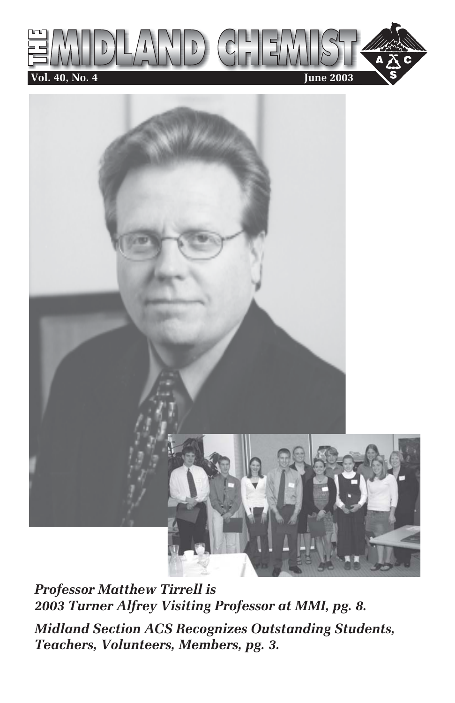



*Professor Matthew Tirrell is 2003 Turner Alfrey Visiting Professor at MMI, pg. 8.*

*Midland Section ACS Recognizes Outstanding Students, Teachers, Volunteers, Members, pg. 3.*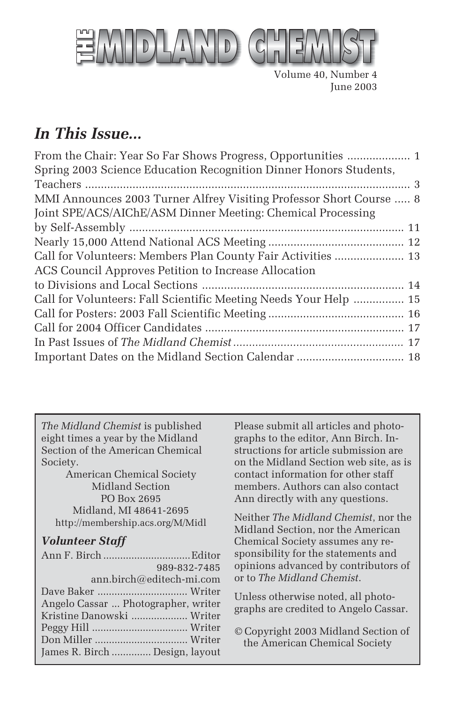

Volume 40, Number 4 June 2003

# *In This Issue...*

| Spring 2003 Science Education Recognition Dinner Honors Students,   |
|---------------------------------------------------------------------|
|                                                                     |
| MMI Announces 2003 Turner Alfrey Visiting Professor Short Course  8 |
| Joint SPE/ACS/AIChE/ASM Dinner Meeting: Chemical Processing         |
|                                                                     |
|                                                                     |
| Call for Volunteers: Members Plan County Fair Activities  13        |
| ACS Council Approves Petition to Increase Allocation                |
|                                                                     |
| Call for Volunteers: Fall Scientific Meeting Needs Your Help  15    |
|                                                                     |
|                                                                     |
|                                                                     |
|                                                                     |

*The Midland Chemist* is published eight times a year by the Midland Section of the American Chemical Society.

American Chemical Society Midland Section PO Box 2695 Midland, MI 48641-2695 http://membership.acs.org/M/Midl

### *Volunteer Staff*

| 989-832-7485                        |  |
|-------------------------------------|--|
| ann.birch@editech-mi.com            |  |
|                                     |  |
| Angelo Cassar  Photographer, writer |  |
| Kristine Danowski  Writer           |  |
|                                     |  |
|                                     |  |
| James R. Birch  Design, layout      |  |

Please submit all articles and photographs to the editor, Ann Birch. Instructions for article submission are on the Midland Section web site, as is contact information for other staff members. Authors can also contact Ann directly with any questions.

Neither *The Midland Chemist*, nor the Midland Section, nor the American Chemical Society assumes any responsibility for the statements and opinions advanced by contributors of or to *The Midland Chemist*.

Unless otherwise noted, all photographs are credited to Angelo Cassar.

© Copyright 2003 Midland Section of the American Chemical Society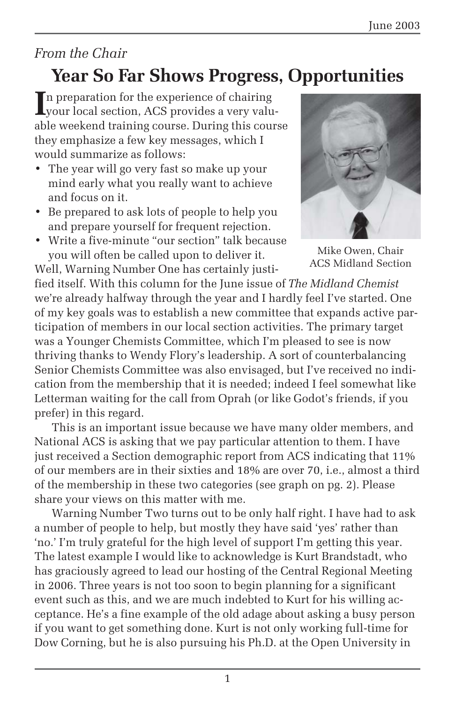## *From the Chair*

# **Year So Far Shows Progress, Opportunities**

In preparation for the experience of chairing<br>
your local section, ACS provides a very value of the section of the section<br>
in the section of the section of the section of the section of the section<br>
in the section of the your local section, ACS provides a very valuable weekend training course. During this course they emphasize a few key messages, which I would summarize as follows:

- The year will go very fast so make up your mind early what you really want to achieve and focus on it.
- Be prepared to ask lots of people to help you and prepare yourself for frequent rejection.
- Write a five-minute "our section" talk because you will often be called upon to deliver it.

Well, Warning Number One has certainly justi-

Mike Owen, Chair ACS Midland Section

fied itself. With this column for the June issue of *The Midland Chemist* we're already halfway through the year and I hardly feel I've started. One of my key goals was to establish a new committee that expands active participation of members in our local section activities. The primary target was a Younger Chemists Committee, which I'm pleased to see is now thriving thanks to Wendy Flory's leadership. A sort of counterbalancing Senior Chemists Committee was also envisaged, but I've received no indication from the membership that it is needed; indeed I feel somewhat like Letterman waiting for the call from Oprah (or like Godot's friends, if you prefer) in this regard.

This is an important issue because we have many older members, and National ACS is asking that we pay particular attention to them. I have just received a Section demographic report from ACS indicating that 11% of our members are in their sixties and 18% are over 70, i.e., almost a third of the membership in these two categories (see graph on pg. 2). Please share your views on this matter with me.

Warning Number Two turns out to be only half right. I have had to ask a number of people to help, but mostly they have said 'yes' rather than 'no.' I'm truly grateful for the high level of support I'm getting this year. The latest example I would like to acknowledge is Kurt Brandstadt, who has graciously agreed to lead our hosting of the Central Regional Meeting in 2006. Three years is not too soon to begin planning for a significant event such as this, and we are much indebted to Kurt for his willing acceptance. He's a fine example of the old adage about asking a busy person if you want to get something done. Kurt is not only working full-time for Dow Corning, but he is also pursuing his Ph.D. at the Open University in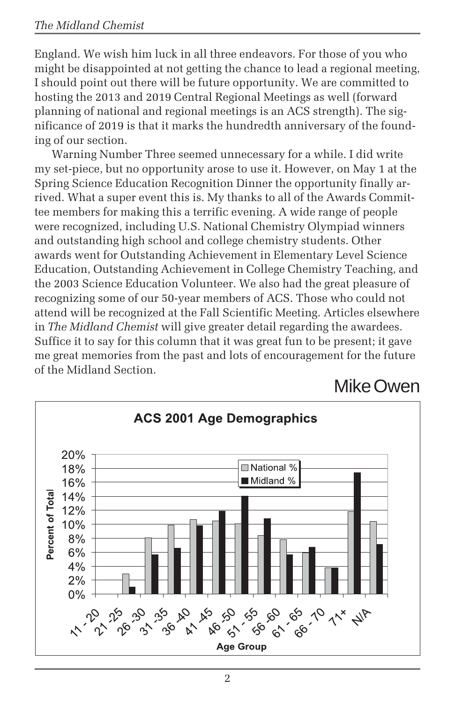#### *The Midland Chemist*

England. We wish him luck in all three endeavors. For those of you who might be disappointed at not getting the chance to lead a regional meeting, I should point out there will be future opportunity. We are committed to hosting the 2013 and 2019 Central Regional Meetings as well (forward planning of national and regional meetings is an ACS strength). The significance of 2019 is that it marks the hundredth anniversary of the founding of our section.

Warning Number Three seemed unnecessary for a while. I did write my set-piece, but no opportunity arose to use it. However, on May 1 at the Spring Science Education Recognition Dinner the opportunity finally arrived. What a super event this is. My thanks to all of the Awards Committee members for making this a terrific evening. A wide range of people were recognized, including U.S. National Chemistry Olympiad winners and outstanding high school and college chemistry students. Other awards went for Outstanding Achievement in Elementary Level Science Education, Outstanding Achievement in College Chemistry Teaching, and the 2003 Science Education Volunteer. We also had the great pleasure of recognizing some of our 50-year members of ACS. Those who could not attend will be recognized at the Fall Scientific Meeting. Articles elsewhere in *The Midland Chemist* will give greater detail regarding the awardees. Suffice it to say for this column that it was great fun to be present; it gave me great memories from the past and lots of encouragement for the future of the Midland Section.

Mike Owen

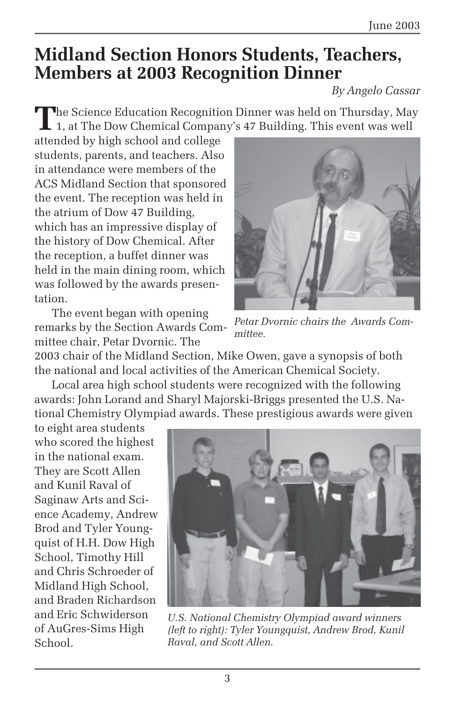# **Midland Section Honors Students, Teachers, Members at 2003 Recognition Dinner**

*By Angelo Cassar*

The Science Education Recognition Dinner was held on Thursday, May 1, at The Dow Chemical Company's 47 Building. This event was well

attended by high school and college students, parents, and teachers. Also in attendance were members of the ACS Midland Section that sponsored the event. The reception was held in the atrium of Dow 47 Building, which has an impressive display of the history of Dow Chemical. After the reception, a buffet dinner was held in the main dining room, which was followed by the awards presentation.

The event began with opening remarks by the Section Awards Committee chair, Petar Dvornic. The



*Petar Dvornic chairs the Awards Committee.*

2003 chair of the Midland Section, Mike Owen, gave a synopsis of both the national and local activities of the American Chemical Society.

Local area high school students were recognized with the following awards: John Lorand and Sharyl Majorski-Briggs presented the U.S. National Chemistry Olympiad awards. These prestigious awards were given

to eight area students who scored the highest in the national exam. They are Scott Allen and Kunil Raval of Saginaw Arts and Science Academy, Andrew Brod and Tyler Youngquist of H.H. Dow High School, Timothy Hill and Chris Schroeder of Midland High School, and Braden Richardson and Eric Schwiderson of AuGres-Sims High School.



*U.S. National Chemistry Olympiad award winners (left to right): Tyler Youngquist, Andrew Brod, Kunil Raval, and Scott Allen.*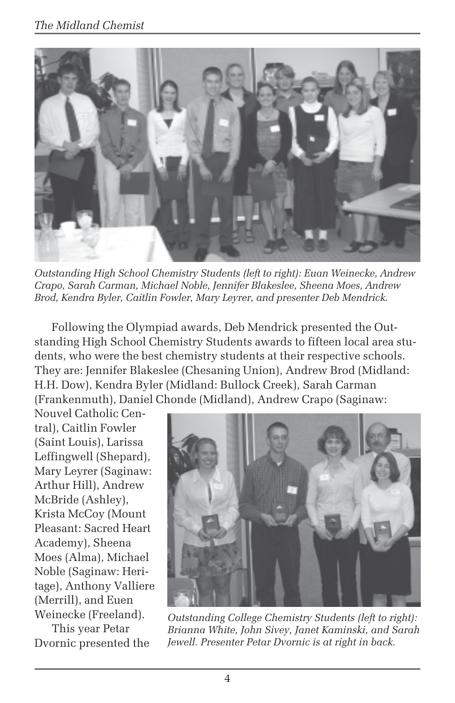

*Outstanding High School Chemistry Students (left to right): Euan Weinecke, Andrew Crapo, Sarah Carman, Michael Noble, Jennifer Blakeslee, Sheena Moes, Andrew Brod, Kendra Byler, Caitlin Fowler, Mary Leyrer, and presenter Deb Mendrick.*

Following the Olympiad awards, Deb Mendrick presented the Outstanding High School Chemistry Students awards to fifteen local area students, who were the best chemistry students at their respective schools. They are: Jennifer Blakeslee (Chesaning Union), Andrew Brod (Midland: H.H. Dow), Kendra Byler (Midland: Bullock Creek), Sarah Carman (Frankenmuth), Daniel Chonde (Midland), Andrew Crapo (Saginaw:

Nouvel Catholic Central), Caitlin Fowler (Saint Louis), Larissa Leffingwell (Shepard), Mary Leyrer (Saginaw: Arthur Hill), Andrew McBride (Ashley), Krista McCoy (Mount Pleasant: Sacred Heart Academy), Sheena Moes (Alma), Michael Noble (Saginaw: Heritage), Anthony Valliere (Merrill), and Euen Weinecke (Freeland).

This year Petar Dvornic presented the



*Outstanding College Chemistry Students (left to right): Brianna White, John Sivey, Janet Kaminski, and Sarah Jewell. Presenter Petar Dvornic is at right in back.*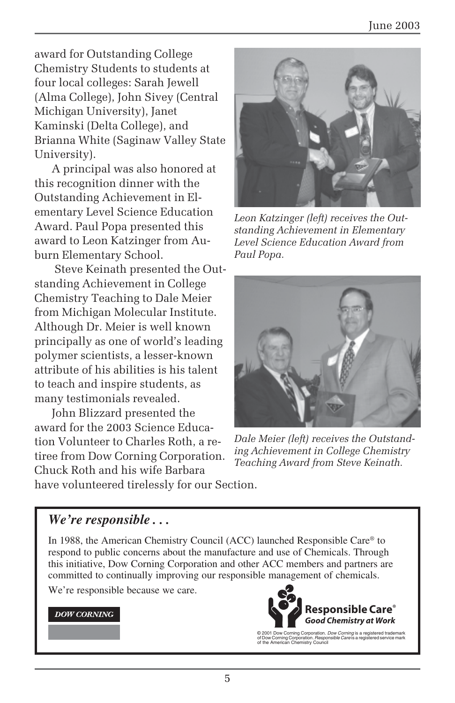award for Outstanding College Chemistry Students to students at four local colleges: Sarah Jewell (Alma College), John Sivey (Central Michigan University), Janet Kaminski (Delta College), and Brianna White (Saginaw Valley State University).

A principal was also honored at this recognition dinner with the Outstanding Achievement in Elementary Level Science Education Award. Paul Popa presented this award to Leon Katzinger from Auburn Elementary School.

 Steve Keinath presented the Outstanding Achievement in College Chemistry Teaching to Dale Meier from Michigan Molecular Institute. Although Dr. Meier is well known principally as one of world's leading polymer scientists, a lesser-known attribute of his abilities is his talent to teach and inspire students, as many testimonials revealed.

John Blizzard presented the award for the 2003 Science Education Volunteer to Charles Roth, a retiree from Dow Corning Corporation. Chuck Roth and his wife Barbara



*Leon Katzinger (left) receives the Outstanding Achievement in Elementary Level Science Education Award from Paul Popa.*



*Dale Meier (left) receives the Outstanding Achievement in College Chemistry Teaching Award from Steve Keinath.*

have volunteered tirelessly for our Section.

### *We're responsible . . .*

In 1988, the American Chemistry Council (ACC) launched Responsible Care® to respond to public concerns about the manufacture and use of Chemicals. Through this initiative, Dow Corning Corporation and other ACC members and partners are committed to continually improving our responsible management of chemicals.

We're responsible because we care.

#### **DOW CORNING**



© 2001 Dow Corning Corporation. *Dow Corning* is a registered trademark<br>of Dow Corning Corporation. *Responsible Care* is a registered service mark<br>of the American Chemistry Council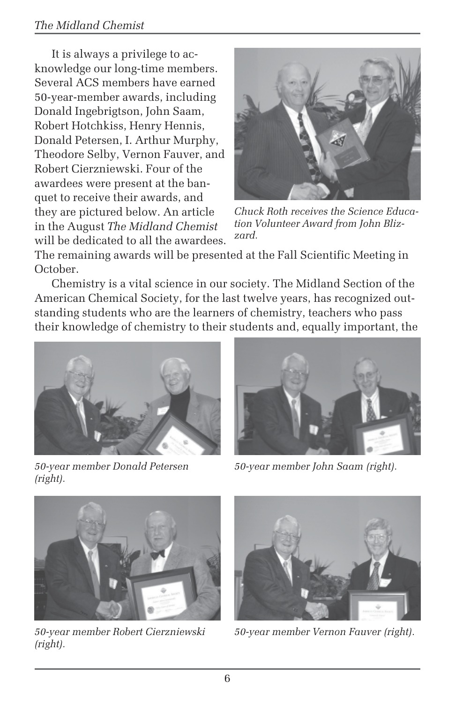#### *The Midland Chemist*

It is always a privilege to acknowledge our long-time members. Several ACS members have earned 50-year-member awards, including Donald Ingebrigtson, John Saam, Robert Hotchkiss, Henry Hennis, Donald Petersen, I. Arthur Murphy, Theodore Selby, Vernon Fauver, and Robert Cierzniewski. Four of the awardees were present at the banquet to receive their awards, and they are pictured below. An article in the August *The Midland Chemist* will be dedicated to all the awardees.



*Chuck Roth receives the Science Education Volunteer Award from John Blizzard.*

The remaining awards will be presented at the Fall Scientific Meeting in October.

Chemistry is a vital science in our society. The Midland Section of the American Chemical Society, for the last twelve years, has recognized outstanding students who are the learners of chemistry, teachers who pass their knowledge of chemistry to their students and, equally important, the



*50-year member Donald Petersen (right).*



*50-year member John Saam (right).*



*50-year member Robert Cierzniewski (right).*



*50-year member Vernon Fauver (right).*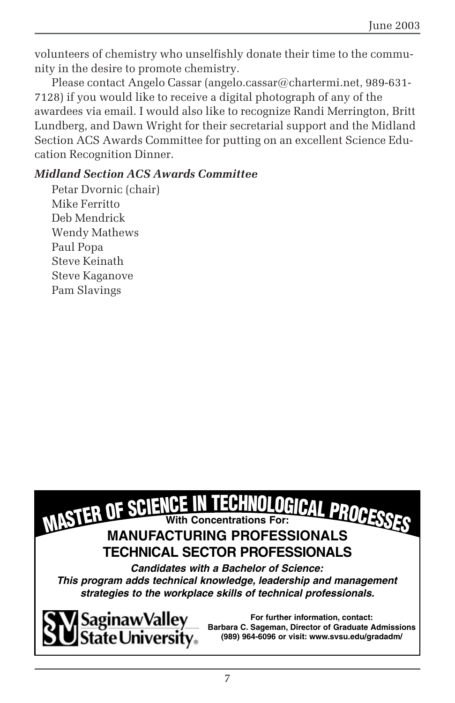volunteers of chemistry who unselfishly donate their time to the community in the desire to promote chemistry.

Please contact Angelo Cassar (angelo.cassar@chartermi.net, 989-631- 7128) if you would like to receive a digital photograph of any of the awardees via email. I would also like to recognize Randi Merrington, Britt Lundberg, and Dawn Wright for their secretarial support and the Midland Section ACS Awards Committee for putting on an excellent Science Education Recognition Dinner.

#### *Midland Section ACS Awards Committee*

Petar Dvornic (chair) Mike Ferritto Deb Mendrick Wendy Mathews Paul Popa Steve Keinath Steve Kaganove Pam Slavings





**For further information, contact: Barbara C. Sageman, Director of Graduate Admissions (989) 964-6096 or visit: www.svsu.edu/gradadm/**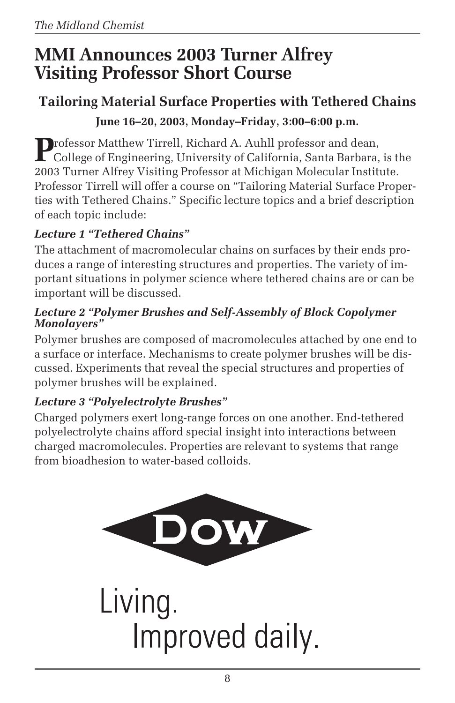# **MMI Announces 2003 Turner Alfrey Visiting Professor Short Course**

# **Tailoring Material Surface Properties with Tethered Chains**

### **June 16–20, 2003, Monday–Friday, 3:00–6:00 p.m.**

Professor Matthew Tirrell, Richard A. Auhll professor and dean,<br>College of Engineering, University of California, Santa Barbara, is the 2003 Turner Alfrey Visiting Professor at Michigan Molecular Institute. Professor Tirrell will offer a course on "Tailoring Material Surface Properties with Tethered Chains." Specific lecture topics and a brief description of each topic include:

## *Lecture 1 "Tethered Chains"*

The attachment of macromolecular chains on surfaces by their ends produces a range of interesting structures and properties. The variety of important situations in polymer science where tethered chains are or can be important will be discussed.

#### *Lecture 2 "Polymer Brushes and Self-Assembly of Block Copolymer Monolayers"*

Polymer brushes are composed of macromolecules attached by one end to a surface or interface. Mechanisms to create polymer brushes will be discussed. Experiments that reveal the special structures and properties of polymer brushes will be explained.

## *Lecture 3 "Polyelectrolyte Brushes"*

Charged polymers exert long-range forces on one another. End-tethered polyelectrolyte chains afford special insight into interactions between charged macromolecules. Properties are relevant to systems that range from bioadhesion to water-based colloids.



Living. Improved daily.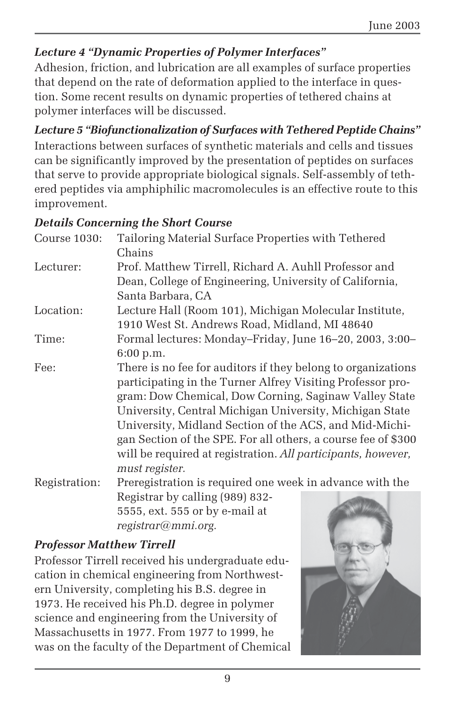## *Lecture 4 "Dynamic Properties of Polymer Interfaces"*

Adhesion, friction, and lubrication are all examples of surface properties that depend on the rate of deformation applied to the interface in question. Some recent results on dynamic properties of tethered chains at polymer interfaces will be discussed.

*Lecture 5 "Biofunctionalization of Surfaces with Tethered Peptide Chains"* Interactions between surfaces of synthetic materials and cells and tissues can be significantly improved by the presentation of peptides on surfaces that serve to provide appropriate biological signals. Self-assembly of tethered peptides via amphiphilic macromolecules is an effective route to this improvement.

### *Details Concerning the Short Course*

|               | Detains Concerning the bildit Course                          |
|---------------|---------------------------------------------------------------|
| Course 1030:  | Tailoring Material Surface Properties with Tethered           |
|               | Chains                                                        |
| Lecturer:     | Prof. Matthew Tirrell, Richard A. Auhll Professor and         |
|               | Dean, College of Engineering, University of California,       |
|               | Santa Barbara, CA                                             |
| Location:     | Lecture Hall (Room 101), Michigan Molecular Institute,        |
|               | 1910 West St. Andrews Road, Midland, MI 48640                 |
| Time:         | Formal lectures: Monday-Friday, June 16-20, 2003, 3:00-       |
|               | 6:00 p.m.                                                     |
| Fee:          | There is no fee for auditors if they belong to organizations  |
|               | participating in the Turner Alfrey Visiting Professor pro-    |
|               | gram: Dow Chemical, Dow Corning, Saginaw Valley State         |
|               | University, Central Michigan University, Michigan State       |
|               | University, Midland Section of the ACS, and Mid-Michi-        |
|               | gan Section of the SPE. For all others, a course fee of \$300 |
|               | will be required at registration. All participants, however,  |
|               | must register.                                                |
| Registration: | Preregistration is required one week in advance with the      |
|               | Registrar by calling (989) 832-                               |
|               | 5555, ext. 555 or by e-mail at                                |
|               | registrar@mmi.org.                                            |

### *Professor Matthew Tirrell*

Professor Tirrell received his undergraduate education in chemical engineering from Northwestern University, completing his B.S. degree in 1973. He received his Ph.D. degree in polymer science and engineering from the University of Massachusetts in 1977. From 1977 to 1999, he was on the faculty of the Department of Chemical

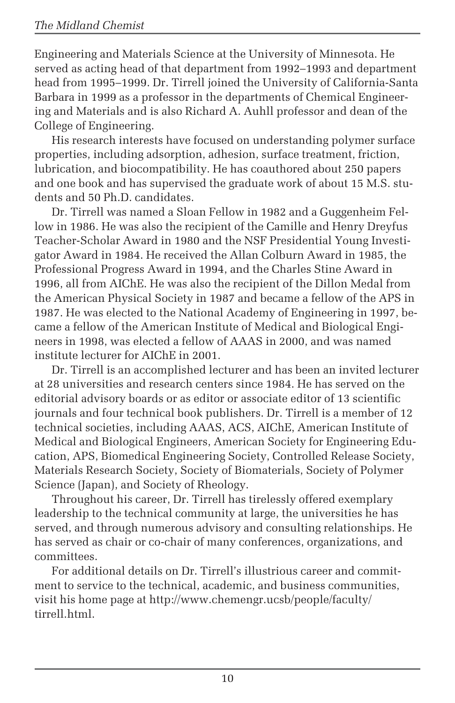Engineering and Materials Science at the University of Minnesota. He served as acting head of that department from 1992–1993 and department head from 1995–1999. Dr. Tirrell joined the University of California-Santa Barbara in 1999 as a professor in the departments of Chemical Engineering and Materials and is also Richard A. Auhll professor and dean of the College of Engineering.

His research interests have focused on understanding polymer surface properties, including adsorption, adhesion, surface treatment, friction, lubrication, and biocompatibility. He has coauthored about 250 papers and one book and has supervised the graduate work of about 15 M.S. students and 50 Ph.D. candidates.

Dr. Tirrell was named a Sloan Fellow in 1982 and a Guggenheim Fellow in 1986. He was also the recipient of the Camille and Henry Dreyfus Teacher-Scholar Award in 1980 and the NSF Presidential Young Investigator Award in 1984. He received the Allan Colburn Award in 1985, the Professional Progress Award in 1994, and the Charles Stine Award in 1996, all from AIChE. He was also the recipient of the Dillon Medal from the American Physical Society in 1987 and became a fellow of the APS in 1987. He was elected to the National Academy of Engineering in 1997, became a fellow of the American Institute of Medical and Biological Engineers in 1998, was elected a fellow of AAAS in 2000, and was named institute lecturer for AIChE in 2001.

Dr. Tirrell is an accomplished lecturer and has been an invited lecturer at 28 universities and research centers since 1984. He has served on the editorial advisory boards or as editor or associate editor of 13 scientific journals and four technical book publishers. Dr. Tirrell is a member of 12 technical societies, including AAAS, ACS, AIChE, American Institute of Medical and Biological Engineers, American Society for Engineering Education, APS, Biomedical Engineering Society, Controlled Release Society, Materials Research Society, Society of Biomaterials, Society of Polymer Science (Japan), and Society of Rheology.

Throughout his career, Dr. Tirrell has tirelessly offered exemplary leadership to the technical community at large, the universities he has served, and through numerous advisory and consulting relationships. He has served as chair or co-chair of many conferences, organizations, and committees.

For additional details on Dr. Tirrell's illustrious career and commitment to service to the technical, academic, and business communities, visit his home page at http://www.chemengr.ucsb/people/faculty/ tirrell.html.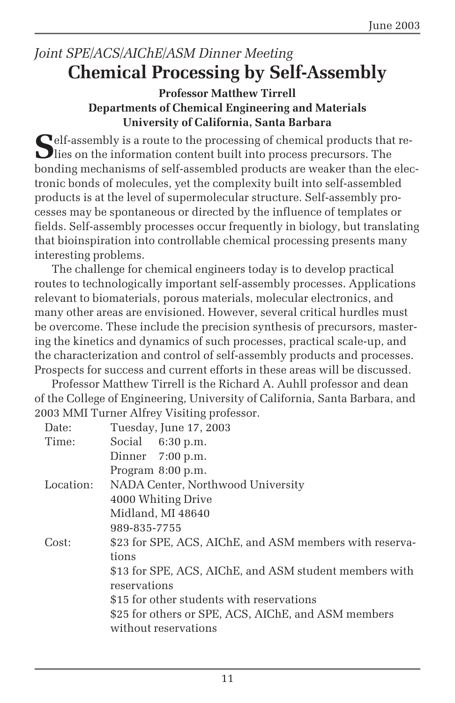# *Joint SPE/ACS/AIChE/ASM Dinner Meeting* **Chemical Processing by Self-Assembly**

#### **Professor Matthew Tirrell Departments of Chemical Engineering and Materials University of California, Santa Barbara**

**S**elf-assembly is a route to the processing of chemical products that re-**D** lies on the information content built into process precursors. The bonding mechanisms of self-assembled products are weaker than the electronic bonds of molecules, yet the complexity built into self-assembled products is at the level of supermolecular structure. Self-assembly processes may be spontaneous or directed by the influence of templates or fields. Self-assembly processes occur frequently in biology, but translating that bioinspiration into controllable chemical processing presents many interesting problems.

The challenge for chemical engineers today is to develop practical routes to technologically important self-assembly processes. Applications relevant to biomaterials, porous materials, molecular electronics, and many other areas are envisioned. However, several critical hurdles must be overcome. These include the precision synthesis of precursors, mastering the kinetics and dynamics of such processes, practical scale-up, and the characterization and control of self-assembly products and processes. Prospects for success and current efforts in these areas will be discussed.

Professor Matthew Tirrell is the Richard A. Auhll professor and dean of the College of Engineering, University of California, Santa Barbara, and 2003 MMI Turner Alfrey Visiting professor.

| Date:     | Tuesday, June 17, 2003                                  |
|-----------|---------------------------------------------------------|
| Time:     | Social 6:30 p.m.                                        |
|           | Dinner $7:00$ p.m.                                      |
|           | Program 8:00 p.m.                                       |
| Location: | NADA Center, Northwood University                       |
|           | 4000 Whiting Drive                                      |
|           | Midland, MI 48640                                       |
|           | 989-835-7755                                            |
| Cost:     | \$23 for SPE, ACS, AIChE, and ASM members with reserva- |
|           | tions                                                   |
|           | \$13 for SPE, ACS, AIChE, and ASM student members with  |
|           | reservations                                            |
|           | \$15 for other students with reservations               |
|           | \$25 for others or SPE, ACS, AIChE, and ASM members     |
|           | without reservations                                    |
|           |                                                         |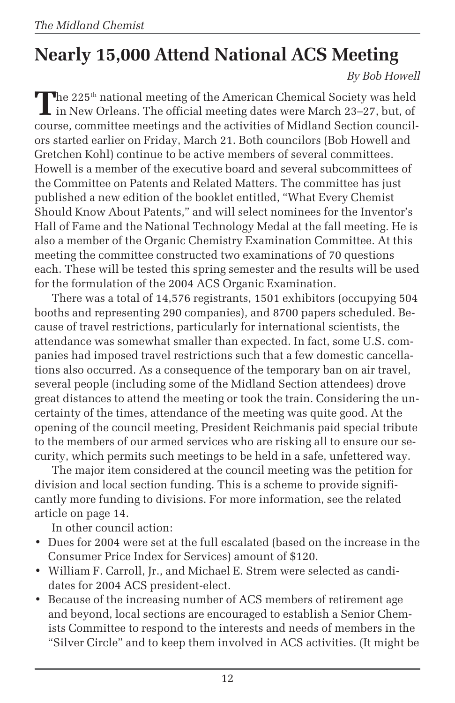# **Nearly 15,000 Attend National ACS Meeting**

*By Bob Howell*

**The 225<sup>th</sup> national meeting of the American Chemical Society was held**  $\mathsf{L}$  in New Orleans. The official meeting dates were March 23–27, but, of course, committee meetings and the activities of Midland Section councilors started earlier on Friday, March 21. Both councilors (Bob Howell and Gretchen Kohl) continue to be active members of several committees. Howell is a member of the executive board and several subcommittees of the Committee on Patents and Related Matters. The committee has just published a new edition of the booklet entitled, "What Every Chemist Should Know About Patents," and will select nominees for the Inventor's Hall of Fame and the National Technology Medal at the fall meeting. He is also a member of the Organic Chemistry Examination Committee. At this meeting the committee constructed two examinations of 70 questions each. These will be tested this spring semester and the results will be used for the formulation of the 2004 ACS Organic Examination.

There was a total of 14,576 registrants, 1501 exhibitors (occupying 504 booths and representing 290 companies), and 8700 papers scheduled. Because of travel restrictions, particularly for international scientists, the attendance was somewhat smaller than expected. In fact, some U.S. companies had imposed travel restrictions such that a few domestic cancellations also occurred. As a consequence of the temporary ban on air travel, several people (including some of the Midland Section attendees) drove great distances to attend the meeting or took the train. Considering the uncertainty of the times, attendance of the meeting was quite good. At the opening of the council meeting, President Reichmanis paid special tribute to the members of our armed services who are risking all to ensure our security, which permits such meetings to be held in a safe, unfettered way.

The major item considered at the council meeting was the petition for division and local section funding. This is a scheme to provide significantly more funding to divisions. For more information, see the related article on page 14.

In other council action:

- Dues for 2004 were set at the full escalated (based on the increase in the Consumer Price Index for Services) amount of \$120.
- William F. Carroll, Jr., and Michael E. Strem were selected as candidates for 2004 ACS president-elect.
- Because of the increasing number of ACS members of retirement age and beyond, local sections are encouraged to establish a Senior Chemists Committee to respond to the interests and needs of members in the "Silver Circle" and to keep them involved in ACS activities. (It might be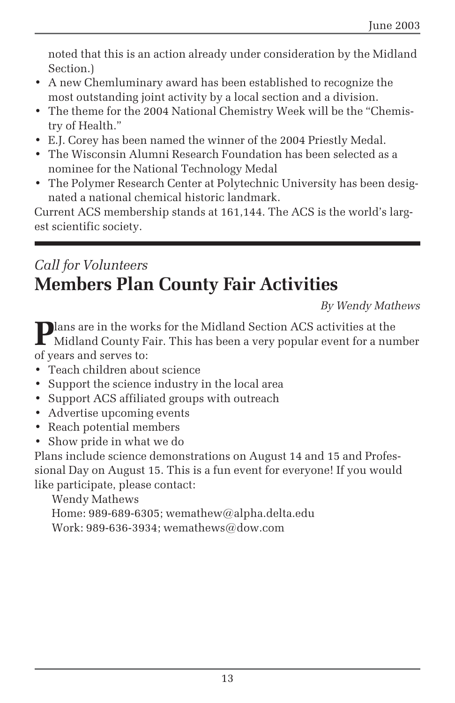noted that this is an action already under consideration by the Midland Section.)

- A new Chemluminary award has been established to recognize the most outstanding joint activity by a local section and a division.
- The theme for the 2004 National Chemistry Week will be the "Chemistry of Health."
- E.J. Corey has been named the winner of the 2004 Priestly Medal.
- The Wisconsin Alumni Research Foundation has been selected as a nominee for the National Technology Medal
- The Polymer Research Center at Polytechnic University has been designated a national chemical historic landmark.

Current ACS membership stands at 161,144. The ACS is the world's largest scientific society.

# *Call for Volunteers* **Members Plan County Fair Activities**

*By Wendy Mathews*

**P**lans are in the works for the Midland Section ACS activities at the Midland County Fair. This has been a very popular event for a number of years and serves to:

- Teach children about science
- Support the science industry in the local area
- Support ACS affiliated groups with outreach
- Advertise upcoming events
- Reach potential members
- Show pride in what we do

Plans include science demonstrations on August 14 and 15 and Professional Day on August 15. This is a fun event for everyone! If you would like participate, please contact:

Wendy Mathews Home: 989-689-6305; wemathew@alpha.delta.edu Work: 989-636-3934; wemathews@dow.com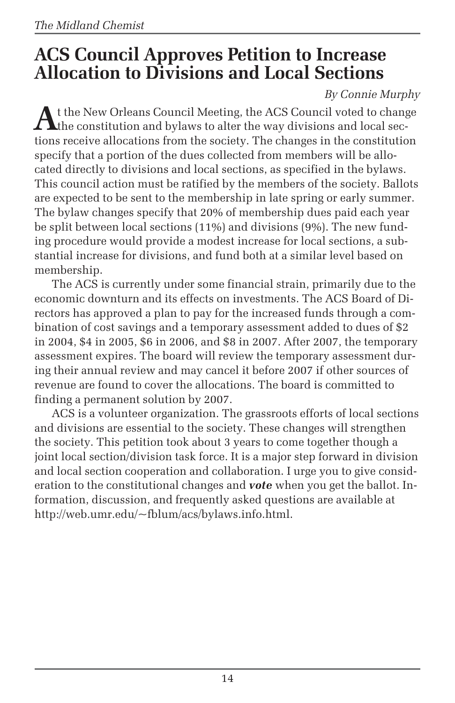# **ACS Council Approves Petition to Increase Allocation to Divisions and Local Sections**

### *By Connie Murphy*

At the New Orleans Council Meeting, the ACS Council voted to change<br>the constitution and bylaws to alter the way divisions and local sections receive allocations from the society. The changes in the constitution specify that a portion of the dues collected from members will be allocated directly to divisions and local sections, as specified in the bylaws. This council action must be ratified by the members of the society. Ballots are expected to be sent to the membership in late spring or early summer. The bylaw changes specify that 20% of membership dues paid each year be split between local sections (11%) and divisions (9%). The new funding procedure would provide a modest increase for local sections, a substantial increase for divisions, and fund both at a similar level based on membership.

The ACS is currently under some financial strain, primarily due to the economic downturn and its effects on investments. The ACS Board of Directors has approved a plan to pay for the increased funds through a combination of cost savings and a temporary assessment added to dues of \$2 in 2004, \$4 in 2005, \$6 in 2006, and \$8 in 2007. After 2007, the temporary assessment expires. The board will review the temporary assessment during their annual review and may cancel it before 2007 if other sources of revenue are found to cover the allocations. The board is committed to finding a permanent solution by 2007.

ACS is a volunteer organization. The grassroots efforts of local sections and divisions are essential to the society. These changes will strengthen the society. This petition took about 3 years to come together though a joint local section/division task force. It is a major step forward in division and local section cooperation and collaboration. I urge you to give consideration to the constitutional changes and *vote* when you get the ballot. Information, discussion, and frequently asked questions are available at http://web.umr.edu/~fblum/acs/bylaws.info.html.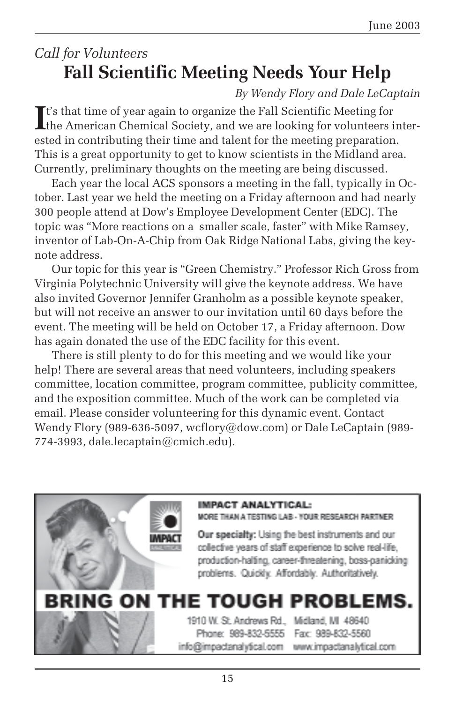# *Call for Volunteers* **Fall Scientific Meeting Needs Your Help**

### *By Wendy Flory and Dale LeCaptain*

It's that time of year again to organize the Fall Scientific Meeting for the American Chemical Society, and we are looking for volunteers intert's that time of year again to organize the Fall Scientific Meeting for ested in contributing their time and talent for the meeting preparation. This is a great opportunity to get to know scientists in the Midland area. Currently, preliminary thoughts on the meeting are being discussed.

Each year the local ACS sponsors a meeting in the fall, typically in October. Last year we held the meeting on a Friday afternoon and had nearly 300 people attend at Dow's Employee Development Center (EDC). The topic was "More reactions on a smaller scale, faster" with Mike Ramsey, inventor of Lab-On-A-Chip from Oak Ridge National Labs, giving the keynote address.

Our topic for this year is "Green Chemistry." Professor Rich Gross from Virginia Polytechnic University will give the keynote address. We have also invited Governor Jennifer Granholm as a possible keynote speaker, but will not receive an answer to our invitation until 60 days before the event. The meeting will be held on October 17, a Friday afternoon. Dow has again donated the use of the EDC facility for this event.

There is still plenty to do for this meeting and we would like your help! There are several areas that need volunteers, including speakers committee, location committee, program committee, publicity committee, and the exposition committee. Much of the work can be completed via email. Please consider volunteering for this dynamic event. Contact Wendy Flory (989-636-5097, wcflory@dow.com) or Dale LeCaptain (989-774-3993, dale.lecaptain@cmich.edu).

### **IMPACT ANALYTICAL:** MORE THAN A TESTING LAB - YOUR RESEARCH PARTNER Our specialty: Using the best instruments and our collective years of staff experience to solve real-life. production-halting, career-threatening, boss-panicking problems. Quickly. Affordably. Authoritatively. **BRING ON THE TOUGH PROBLEMS.** 1910 W. St. Andrews Rd., Midland, MI 48640 Phone: 989-832-5555 Fax: 989-832-5560 info@impactanalytical.com www.impactanalytical.com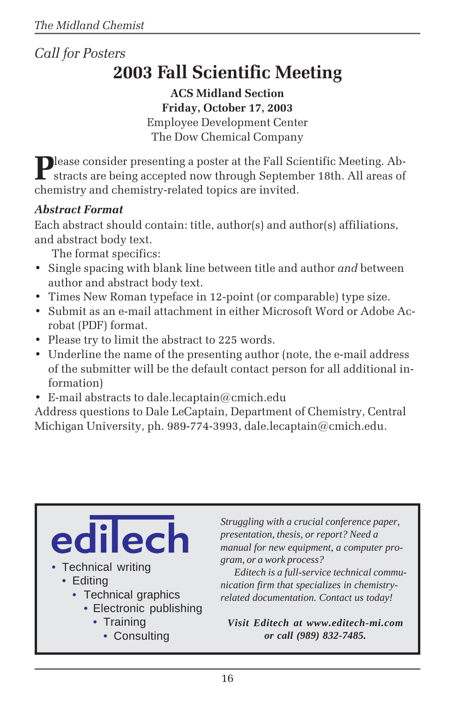# *Call for Posters* **2003 Fall Scientific Meeting**

**ACS Midland Section Friday, October 17, 2003** Employee Development Center The Dow Chemical Company

Please consider presenting a poster at the Fall Scientific Meeting. Abstracts are being accepted now through September 18th. All areas of chemistry and chemistry-related topics are invited.

### *Abstract Format*

Each abstract should contain: title, author(s) and author(s) affiliations, and abstract body text.

The format specifics:

- Single spacing with blank line between title and author *and* between author and abstract body text.
- Times New Roman typeface in 12-point (or comparable) type size.
- Submit as an e-mail attachment in either Microsoft Word or Adobe Acrobat (PDF) format.
- Please try to limit the abstract to 225 words.
- Underline the name of the presenting author (note, the e-mail address of the submitter will be the default contact person for all additional information)
- E-mail abstracts to dale.lecaptain@cmich.edu

Address questions to Dale LeCaptain, Department of Chemistry, Central Michigan University, ph. 989-774-3993, dale.lecaptain@cmich.edu.

# ec • Technical writing • Editing • Technical graphics • Electronic publishing • Training

• Consulting

*Struggling with a crucial conference paper, presentation, thesis, or report? Need a manual for new equipment, a computer program, or a work process?*

*Editech is a full-service technical communication firm that specializes in chemistryrelated documentation. Contact us today!*

*Visit Editech at www.editech-mi.com or call (989) 832-7485.*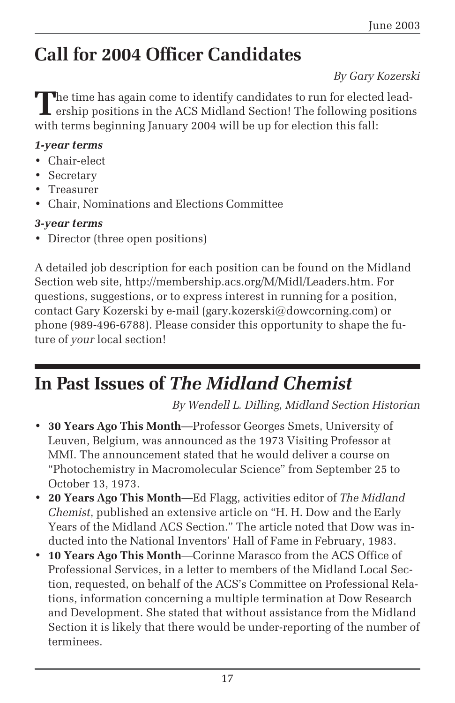# **Call for 2004 Officer Candidates**

### *By Gary Kozerski*

The time has again come to identify candidates to run for elected lead-**L** ership positions in the ACS Midland Section! The following positions with terms beginning January 2004 will be up for election this fall:

#### *1-year terms*

- Chair-elect
- Secretary
- Treasurer
- Chair, Nominations and Elections Committee

### *3-year terms*

• Director (three open positions)

A detailed job description for each position can be found on the Midland Section web site, http://membership.acs.org/M/Midl/Leaders.htm. For questions, suggestions, or to express interest in running for a position, contact Gary Kozerski by e-mail (gary.kozerski@dowcorning.com) or phone (989-496-6788). Please consider this opportunity to shape the future of *your* local section!

# **In Past Issues of** *The Midland Chemist*

*By Wendell L. Dilling, Midland Section Historian*

- **30 Years Ago This Month**—Professor Georges Smets, University of Leuven, Belgium, was announced as the 1973 Visiting Professor at MMI. The announcement stated that he would deliver a course on "Photochemistry in Macromolecular Science" from September 25 to October 13, 1973.
- **20 Years Ago This Month**—Ed Flagg, activities editor of *The Midland Chemist*, published an extensive article on "H. H. Dow and the Early Years of the Midland ACS Section." The article noted that Dow was inducted into the National Inventors' Hall of Fame in February, 1983.
- **10 Years Ago This Month**—Corinne Marasco from the ACS Office of Professional Services, in a letter to members of the Midland Local Section, requested, on behalf of the ACS's Committee on Professional Relations, information concerning a multiple termination at Dow Research and Development. She stated that without assistance from the Midland Section it is likely that there would be under-reporting of the number of terminees.